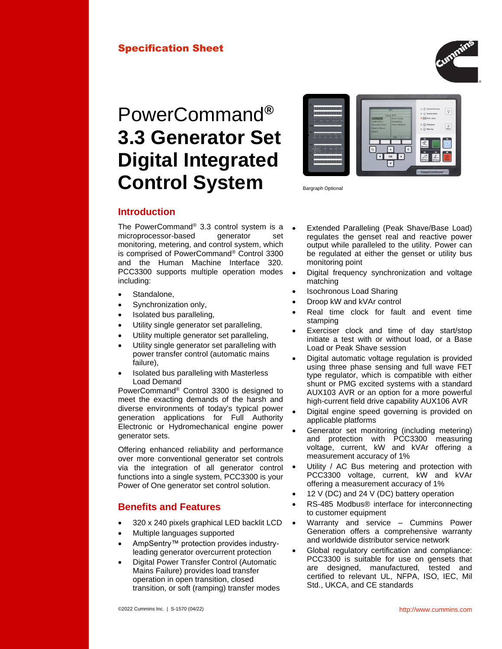## Specification Sheet



# PowerCommand**® 3.3 Generator Set Digital Integrated Control System**



Bargraph Optional

## **Introduction**

The PowerCommand® 3.3 control system is a microprocessor-based generator set monitoring, metering, and control system, which is comprised of PowerCommand® Control 3300 and the Human Machine Interface 320. PCC3300 supports multiple operation modes including:

- Standalone.
- Synchronization only,
- Isolated bus paralleling,
- Utility single generator set paralleling,
- Utility multiple generator set paralleling,
- Utility single generator set paralleling with power transfer control (automatic mains failure),
- Isolated bus paralleling with Masterless Load Demand

PowerCommand® Control 3300 is designed to meet the exacting demands of the harsh and diverse environments of today's typical power generation applications for Full Authority Electronic or Hydromechanical engine power generator sets.

Offering enhanced reliability and performance over more conventional generator set controls via the integration of all generator control functions into a single system, PCC3300 is your Power of One generator set control solution.

## **Benefits and Features**

- 320 x 240 pixels graphical LED backlit LCD
- Multiple languages supported
- AmpSentry™ protection provides industryleading generator overcurrent protection
- Digital Power Transfer Control (Automatic Mains Failure) provides load transfer operation in open transition, closed transition, or soft (ramping) transfer modes
- Extended Paralleling (Peak Shave/Base Load) regulates the genset real and reactive power output while paralleled to the utility. Power can be regulated at either the genset or utility bus monitoring point
- Digital frequency synchronization and voltage matching
- Isochronous Load Sharing
- Droop kW and kVAr control
- Real time clock for fault and event time stamping
- Exerciser clock and time of day start/stop initiate a test with or without load, or a Base Load or Peak Shave session
- Digital automatic voltage regulation is provided using three phase sensing and full wave FET type regulator, which is compatible with either shunt or PMG excited systems with a standard AUX103 AVR or an option for a more powerful high-current field drive capability AUX106 AVR
- Digital engine speed governing is provided on applicable platforms
- Generator set monitoring (including metering) and protection with PCC3300 measuring voltage, current, kW and kVAr offering a measurement accuracy of 1%
- Utility / AC Bus metering and protection with PCC3300 voltage, current, kW and kVAr offering a measurement accuracy of 1%
- 12 V (DC) and 24 V (DC) battery operation
- RS-485 Modbus® interface for interconnecting to customer equipment
- Warranty and service Cummins Power Generation offers a comprehensive warranty and worldwide distributor service network
- Global regulatory certification and compliance: PCC3300 is suitable for use on gensets that are designed, manufactured, tested and certified to relevant UL, NFPA, ISO, IEC, Mil Std., UKCA, and CE standards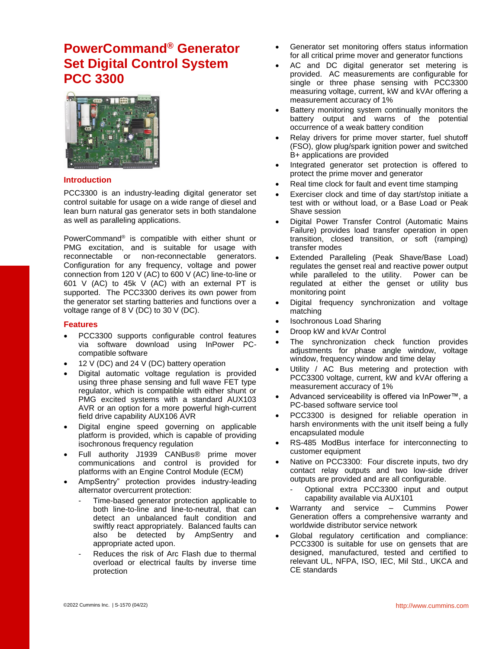## **PowerCommand® Generator Set Digital Control System PCC 3300**



#### **Introduction**

PCC3300 is an industry-leading digital generator set control suitable for usage on a wide range of diesel and lean burn natural gas generator sets in both standalone as well as paralleling applications.

PowerCommand® is compatible with either shunt or PMG excitation, and is suitable for usage with reconnectable or non-reconnectable generators. Configuration for any frequency, voltage and power connection from 120 V (AC) to 600 V (AC) line-to-line or 601 V (AC) to 45k V (AC) with an external PT is supported. The PCC3300 derives its own power from the generator set starting batteries and functions over a voltage range of 8 V (DC) to 30 V (DC).

#### **Features**

- PCC3300 supports configurable control features via software download using InPower PCcompatible software
- 12 V (DC) and 24 V (DC) battery operation
- Digital automatic voltage regulation is provided using three phase sensing and full wave FET type regulator, which is compatible with either shunt or PMG excited systems with a standard AUX103 AVR or an option for a more powerful high-current field drive capability AUX106 AVR
- Digital engine speed governing on applicable platform is provided, which is capable of providing isochronous frequency regulation
- Full authority J1939 CANBus® prime mover communications and control is provided for platforms with an Engine Control Module (ECM)
- AmpSentry" protection provides industry-leading alternator overcurrent protection:
	- Time-based generator protection applicable to both line-to-line and line-to-neutral, that can detect an unbalanced fault condition and swiftly react appropriately. Balanced faults can also be detected by AmpSentry and appropriate acted upon.
	- Reduces the risk of Arc Flash due to thermal overload or electrical faults by inverse time protection
- Generator set monitoring offers status information for all critical prime mover and generator functions
- AC and DC digital generator set metering is provided. AC measurements are configurable for single or three phase sensing with PCC3300 measuring voltage, current, kW and kVAr offering a measurement accuracy of 1%
- Battery monitoring system continually monitors the battery output and warns of the potential occurrence of a weak battery condition
- Relay drivers for prime mover starter, fuel shutoff (FSO), glow plug/spark ignition power and switched B+ applications are provided
- Integrated generator set protection is offered to protect the prime mover and generator
- Real time clock for fault and event time stamping
- Exerciser clock and time of day start/stop initiate a test with or without load, or a Base Load or Peak Shave session
- Digital Power Transfer Control (Automatic Mains Failure) provides load transfer operation in open transition, closed transition, or soft (ramping) transfer modes
- Extended Paralleling (Peak Shave/Base Load) regulates the genset real and reactive power output while paralleled to the utility. Power can be regulated at either the genset or utility bus monitoring point
- Digital frequency synchronization and voltage matching
- Isochronous Load Sharing
- Droop kW and kVAr Control
- The synchronization check function provides adjustments for phase angle window, voltage window, frequency window and time delay
- Utility / AC Bus metering and protection with PCC3300 voltage, current, kW and kVAr offering a measurement accuracy of 1%
- Advanced serviceability is offered via InPower™, a PC-based software service tool
- PCC3300 is designed for reliable operation in harsh environments with the unit itself being a fully encapsulated module
- RS-485 ModBus interface for interconnecting to customer equipment
- Native on PCC3300: Four discrete inputs, two dry contact relay outputs and two low-side driver outputs are provided and are all configurable.
	- Optional extra PCC3300 input and output capability available via AUX101
- Warranty and service Cummins Power Generation offers a comprehensive warranty and worldwide distributor service network
- Global regulatory certification and compliance: PCC3300 is suitable for use on gensets that are designed, manufactured, tested and certified to relevant UL, NFPA, ISO, IEC, Mil Std., UKCA and CE standards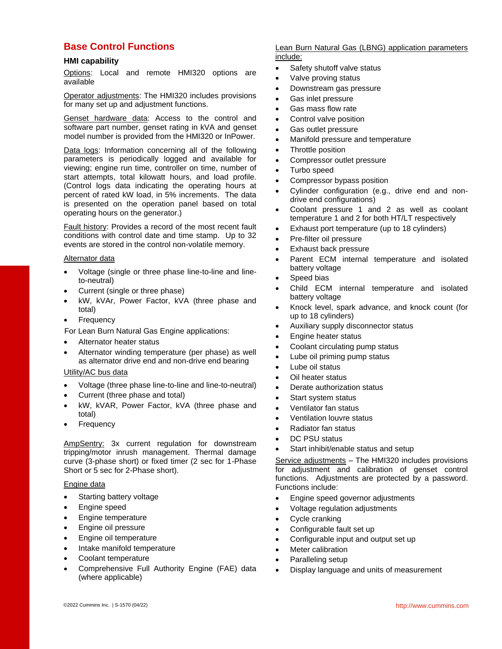## **Base Control Functions**

#### **HMI capability**

Options: Local and remote HMI320 options are available

Operator adjustments: The HMI320 includes provisions for many set up and adjustment functions.

Genset hardware data: Access to the control and software part number, genset rating in kVA and genset model number is provided from the HMI320 or InPower.

Data logs: Information concerning all of the following parameters is periodically logged and available for viewing; engine run time, controller on time, number of start attempts, total kilowatt hours, and load profile. (Control logs data indicating the operating hours at percent of rated kW load, in 5% increments. The data is presented on the operation panel based on total operating hours on the generator.)

Fault history: Provides a record of the most recent fault conditions with control date and time stamp. Up to 32 events are stored in the control non-volatile memory.

#### Alternator data

- Voltage (single or three phase line-to-line and lineto-neutral)
- Current (single or three phase)
- kW, kVAr, Power Factor, kVA (three phase and total)
- **Frequency**

For Lean Burn Natural Gas Engine applications:

- Alternator heater status
- Alternator winding temperature (per phase) as well as alternator drive end and non-drive end bearing

#### Utility/AC bus data

- Voltage (three phase line-to-line and line-to-neutral)
- Current (three phase and total)
- kW, kVAR, Power Factor, kVA (three phase and total)
- **Frequency**

AmpSentry: 3x current regulation for downstream tripping/motor inrush management. Thermal damage curve (3-phase short) or fixed timer (2 sec for 1-Phase Short or 5 sec for 2-Phase short).

#### Engine data

- Starting battery voltage
- Engine speed
- Engine temperature
- Engine oil pressure
- Engine oil temperature
- Intake manifold temperature
- Coolant temperature
- Comprehensive Full Authority Engine (FAE) data (where applicable)

#### Lean Burn Natural Gas (LBNG) application parameters include:

- Safety shutoff valve status
	- Valve proving status
- Downstream gas pressure
- Gas inlet pressure
- Gas mass flow rate
- Control valve position
- Gas outlet pressure
- Manifold pressure and temperature
- Throttle position
- Compressor outlet pressure
- Turbo speed
- Compressor bypass position
- Cylinder configuration (e.g., drive end and nondrive end configurations)
- Coolant pressure 1 and 2 as well as coolant temperature 1 and 2 for both HT/LT respectively
- Exhaust port temperature (up to 18 cylinders)
- Pre-filter oil pressure
- Exhaust back pressure
- Parent ECM internal temperature and isolated battery voltage
- Speed bias
- Child ECM internal temperature and isolated battery voltage
- Knock level, spark advance, and knock count (for up to 18 cylinders)
- Auxiliary supply disconnector status
- Engine heater status
- Coolant circulating pump status
- Lube oil priming pump status
- Lube oil status
- Oil heater status
- Derate authorization status
- Start system status
- Ventilator fan status
- Ventilation louvre status
- Radiator fan status
- DC PSU status
- Start inhibit/enable status and setup

Service adjustments – The HMI320 includes provisions for adjustment and calibration of genset control functions. Adjustments are protected by a password. Functions include:

- Engine speed governor adjustments
- Voltage regulation adjustments
- Cycle cranking
- Configurable fault set up
- Configurable input and output set up
- **Meter calibration**
- Paralleling setup
- Display language and units of measurement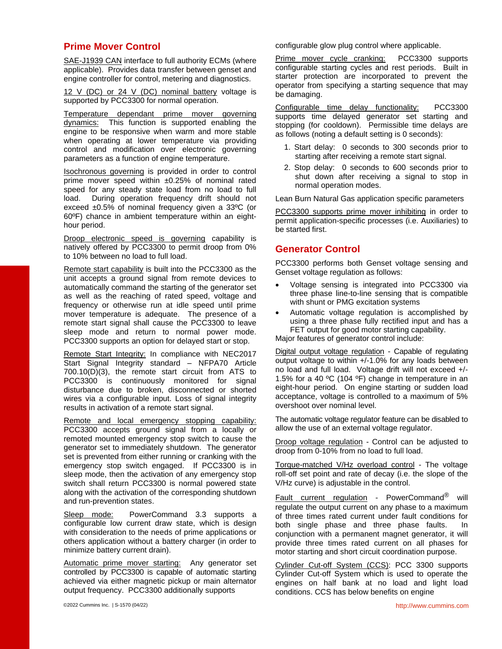## **Prime Mover Control**

SAE-J1939 CAN interface to full authority ECMs (where applicable). Provides data transfer between genset and engine controller for control, metering and diagnostics.

12 V (DC) or 24 V (DC) nominal battery voltage is supported by PCC3300 for normal operation.

Temperature dependant prime mover governing dynamics: This function is supported enabling the engine to be responsive when warm and more stable when operating at lower temperature via providing control and modification over electronic governing parameters as a function of engine temperature.

Isochronous governing is provided in order to control prime mover speed within ±0.25% of nominal rated speed for any steady state load from no load to full load. During operation frequency drift should not exceed ±0.5% of nominal frequency given a 33ºC (or 60ºF) chance in ambient temperature within an eighthour period.

Droop electronic speed is governing capability is natively offered by PCC3300 to permit droop from 0% to 10% between no load to full load.

Remote start capability is built into the PCC3300 as the unit accepts a ground signal from remote devices to automatically command the starting of the generator set as well as the reaching of rated speed, voltage and frequency or otherwise run at idle speed until prime mover temperature is adequate. The presence of a remote start signal shall cause the PCC3300 to leave sleep mode and return to normal power mode. PCC3300 supports an option for delayed start or stop.

Remote Start Integrity: In compliance with NEC2017 Start Signal Integrity standard – NFPA70 Article 700.10(D)(3), the remote start circuit from ATS to PCC3300 is continuously monitored for signal disturbance due to broken, disconnected or shorted wires via a configurable input. Loss of signal integrity results in activation of a remote start signal.

Remote and local emergency stopping capability: PCC3300 accepts ground signal from a locally or remoted mounted emergency stop switch to cause the generator set to immediately shutdown. The generator set is prevented from either running or cranking with the emergency stop switch engaged. If PCC3300 is in sleep mode, then the activation of any emergency stop switch shall return PCC3300 is normal powered state along with the activation of the corresponding shutdown and run-prevention states.

Sleep mode: PowerCommand 3.3 supports a configurable low current draw state, which is design with consideration to the needs of prime applications or others application without a battery charger (in order to minimize battery current drain).

Automatic prime mover starting: Any generator set controlled by PCC3300 is capable of automatic starting achieved via either magnetic pickup or main alternator output frequency. PCC3300 additionally supports

configurable glow plug control where applicable.

Prime mover cycle cranking: PCC3300 supports configurable starting cycles and rest periods. Built in starter protection are incorporated to prevent the operator from specifying a starting sequence that may be damaging.

Configurable time delay functionality: PCC3300 supports time delayed generator set starting and stopping (for cooldown). Permissible time delays are as follows (noting a default setting is 0 seconds):

- 1. Start delay: 0 seconds to 300 seconds prior to starting after receiving a remote start signal.
- 2. Stop delay: 0 seconds to 600 seconds prior to shut down after receiving a signal to stop in normal operation modes.

Lean Burn Natural Gas application specific parameters

PCC3300 supports prime mover inhibiting in order to permit application-specific processes (i.e. Auxiliaries) to be started first.

### **Generator Control**

PCC3300 performs both Genset voltage sensing and Genset voltage regulation as follows:

- Voltage sensing is integrated into PCC3300 via three phase line-to-line sensing that is compatible with shunt or PMG excitation systems
- Automatic voltage regulation is accomplished by using a three phase fully rectified input and has a FET output for good motor starting capability.

Major features of generator control include:

Digital output voltage regulation - Capable of regulating output voltage to within +/-1.0% for any loads between no load and full load. Voltage drift will not exceed +/- 1.5% for a 40 ºC (104 ºF) change in temperature in an eight-hour period. On engine starting or sudden load acceptance, voltage is controlled to a maximum of 5% overshoot over nominal level.

The automatic voltage regulator feature can be disabled to allow the use of an external voltage regulator.

Droop voltage regulation - Control can be adjusted to droop from 0-10% from no load to full load.

Torque-matched V/Hz overload control - The voltage roll-off set point and rate of decay (i.e. the slope of the V/Hz curve) is adjustable in the control.

Fault current regulation - PowerCommand<sup>®</sup> will regulate the output current on any phase to a maximum of three times rated current under fault conditions for both single phase and three phase faults. In conjunction with a permanent magnet generator, it will provide three times rated current on all phases for motor starting and short circuit coordination purpose.

Cylinder Cut-off System (CCS): PCC 3300 supports Cylinder Cut-off System which is used to operate the engines on half bank at no load and light load conditions. CCS has below benefits on engine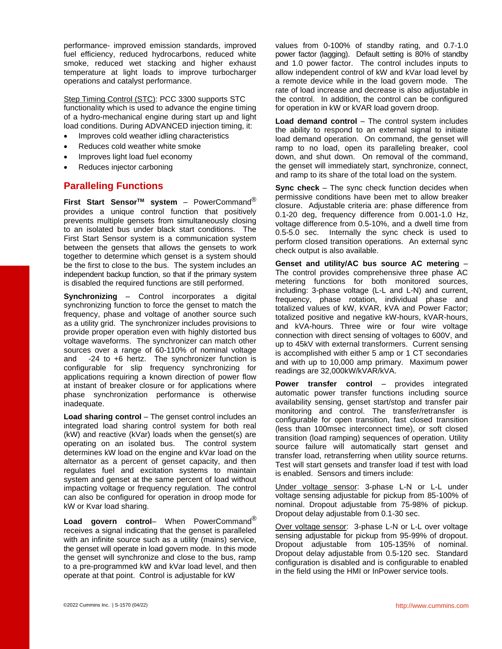performance- improved emission standards, improved fuel efficiency, reduced hydrocarbons, reduced white smoke, reduced wet stacking and higher exhaust temperature at light loads to improve turbocharger operations and catalyst performance.

Step Timing Control (STC): PCC 3300 supports STC functionality which is used to advance the engine timing of a hydro-mechanical engine during start up and light load conditions. During ADVANCED injection timing, it:

- Improves cold weather idling characteristics
- Reduces cold weather white smoke
- Improves light load fuel economy
- Reduces injector carboning

## **Paralleling Functions**

**First Start SensorTM system** – PowerCommand® provides a unique control function that positively prevents multiple gensets from simultaneously closing to an isolated bus under black start conditions. The First Start Sensor system is a communication system between the gensets that allows the gensets to work together to determine which genset is a system should be the first to close to the bus. The system includes an independent backup function, so that if the primary system is disabled the required functions are still performed.

**Synchronizing** – Control incorporates a digital synchronizing function to force the genset to match the frequency, phase and voltage of another source such as a utility grid. The synchronizer includes provisions to provide proper operation even with highly distorted bus voltage waveforms. The synchronizer can match other sources over a range of 60-110% of nominal voltage and -24 to +6 hertz. The synchronizer function is configurable for slip frequency synchronizing for applications requiring a known direction of power flow at instant of breaker closure or for applications where phase synchronization performance is otherwise inadequate.

**Load sharing control** – The genset control includes an integrated load sharing control system for both real (kW) and reactive (kVar) loads when the genset(s) are operating on an isolated bus. The control system determines kW load on the engine and kVar load on the alternator as a percent of genset capacity, and then regulates fuel and excitation systems to maintain system and genset at the same percent of load without impacting voltage or frequency regulation. The control can also be configured for operation in droop mode for kW or Kvar load sharing.

**Load govern control**– When PowerCommand® receives a signal indicating that the genset is paralleled with an infinite source such as a utility (mains) service, the genset will operate in load govern mode. In this mode the genset will synchronize and close to the bus, ramp to a pre-programmed kW and kVar load level, and then operate at that point. Control is adjustable for kW

values from 0-100% of standby rating, and 0.7-1.0 power factor (lagging). Default setting is 80% of standby and 1.0 power factor. The control includes inputs to allow independent control of kW and kVar load level by a remote device while in the load govern mode. The rate of load increase and decrease is also adjustable in the control. In addition, the control can be configured for operation in kW or kVAR load govern droop.

**Load demand control** – The control system includes the ability to respond to an external signal to initiate load demand operation. On command, the genset will ramp to no load, open its paralleling breaker, cool down, and shut down. On removal of the command, the genset will immediately start, synchronize, connect, and ramp to its share of the total load on the system.

**Sync check** – The sync check function decides when permissive conditions have been met to allow breaker closure. Adjustable criteria are: phase difference from 0.1-20 deg, frequency difference from 0.001-1.0 Hz, voltage difference from 0.5-10%, and a dwell time from 0.5-5.0 sec. Internally the sync check is used to perform closed transition operations. An external sync check output is also available.

**Genset and utility/AC bus source AC metering** – The control provides comprehensive three phase AC metering functions for both monitored sources, including: 3-phase voltage (L-L and L-N) and current, frequency, phase rotation, individual phase and totalized values of kW, kVAR, kVA and Power Factor; totalized positive and negative kW-hours, kVAR-hours, and kVA-hours. Three wire or four wire voltage connection with direct sensing of voltages to 600V, and up to 45kV with external transformers. Current sensing is accomplished with either 5 amp or 1 CT secondaries and with up to 10,000 amp primary. Maximum power readings are 32,000kW/kVAR/kVA.

**Power transfer control** – provides integrated automatic power transfer functions including source availability sensing, genset start/stop and transfer pair monitoring and control. The transfer/retransfer is configurable for open transition, fast closed transition (less than 100msec interconnect time), or soft closed transition (load ramping) sequences of operation. Utility source failure will automatically start genset and transfer load, retransferring when utility source returns. Test will start gensets and transfer load if test with load is enabled. Sensors and timers include:

Under voltage sensor: 3-phase L-N or L-L under voltage sensing adjustable for pickup from 85-100% of nominal. Dropout adjustable from 75-98% of pickup. Dropout delay adjustable from 0.1-30 sec.

Over voltage sensor: 3-phase L-N or L-L over voltage sensing adjustable for pickup from 95-99% of dropout. Dropout adjustable from 105-135% of nominal. Dropout delay adjustable from 0.5-120 sec. Standard configuration is disabled and is configurable to enabled in the field using the HMI or InPower service tools.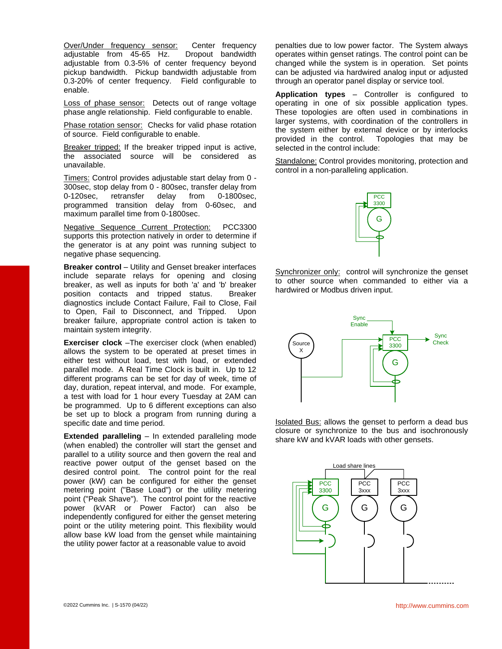Over/Under frequency sensor: Center frequency adjustable from 45-65 Hz. Dropout bandwidth adjustable from 0.3-5% of center frequency beyond pickup bandwidth. Pickup bandwidth adjustable from 0.3-20% of center frequency. Field configurable to enable.

Loss of phase sensor: Detects out of range voltage phase angle relationship. Field configurable to enable.

Phase rotation sensor: Checks for valid phase rotation of source. Field configurable to enable.

Breaker tripped: If the breaker tripped input is active, the associated source will be considered as unavailable.

Timers: Control provides adjustable start delay from 0 - 300sec, stop delay from 0 - 800sec, transfer delay from 0-120sec, retransfer delay from 0-1800sec, programmed transition delay from 0-60sec, and maximum parallel time from 0-1800sec.

Negative Sequence Current Protection: PCC3300 supports this protection natively in order to determine if the generator is at any point was running subject to negative phase sequencing.

**Breaker control** – Utility and Genset breaker interfaces include separate relays for opening and closing breaker, as well as inputs for both 'a' and 'b' breaker position contacts and tripped status. Breaker diagnostics include Contact Failure, Fail to Close, Fail to Open, Fail to Disconnect, and Tripped. Upon breaker failure, appropriate control action is taken to maintain system integrity.

**Exerciser clock** –The exerciser clock (when enabled) allows the system to be operated at preset times in either test without load, test with load, or extended parallel mode. A Real Time Clock is built in. Up to 12 different programs can be set for day of week, time of day, duration, repeat interval, and mode. For example, a test with load for 1 hour every Tuesday at 2AM can be programmed. Up to 6 different exceptions can also be set up to block a program from running during a specific date and time period.

**Extended paralleling** – In extended paralleling mode (when enabled) the controller will start the genset and parallel to a utility source and then govern the real and reactive power output of the genset based on the desired control point. The control point for the real power (kW) can be configured for either the genset metering point ("Base Load") or the utility metering point ("Peak Shave"). The control point for the reactive power (kVAR or Power Factor) can also be independently configured for either the genset metering point or the utility metering point. This flexibility would allow base kW load from the genset while maintaining the utility power factor at a reasonable value to avoid

penalties due to low power factor. The System always operates within genset ratings. The control point can be changed while the system is in operation. Set points can be adjusted via hardwired analog input or adjusted through an operator panel display or service tool.

**Application types** – Controller is configured to operating in one of six possible application types. These topologies are often used in combinations in larger systems, with coordination of the controllers in the system either by external device or by interlocks provided in the control. Topologies that may be selected in the control include:

Standalone: Control provides monitoring, protection and control in a non-paralleling application.



Synchronizer only: control will synchronize the genset to other source when commanded to either via a hardwired or Modbus driven input.



Isolated Bus: allows the genset to perform a dead bus closure or synchronize to the bus and isochronously share kW and kVAR loads with other gensets.

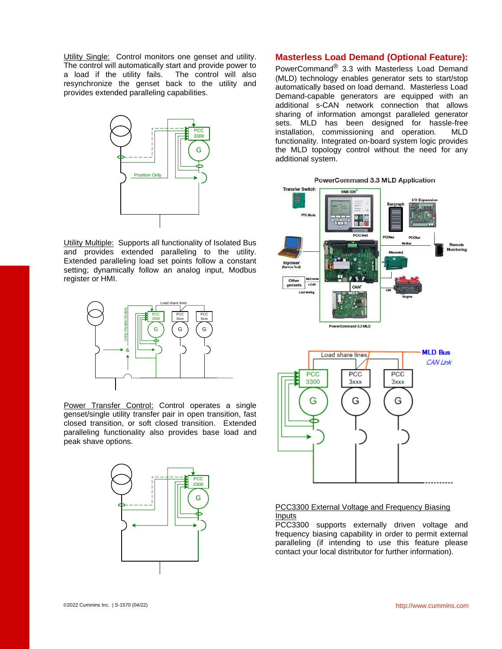Utility Single: Control monitors one genset and utility. The control will automatically start and provide power to a load if the utility fails. The control will also resynchronize the genset back to the utility and provides extended paralleling capabilities.



**Utility Multiple: Supports all functionality of Isolated Bus** and provides extended paralleling to the utility. Extended paralleling load set points follow a constant setting; dynamically follow an analog input, Modbus register or HMI.



Power Transfer Control: Control operates a single genset/single utility transfer pair in open transition, fast closed transition, or soft closed transition. Extended paralleling functionality also provides base load and peak shave options.



### **Masterless Load Demand (Optional Feature):**

PowerCommand® 3.3 with Masterless Load Demand (MLD) technology enables generator sets to start/stop automatically based on load demand. Masterless Load Demand-capable generators are equipped with an additional s-CAN network connection that allows sharing of information amongst paralleled generator sets. MLD has been designed for hassle-free installation, commissioning and operation. MLD functionality. Integrated on-board system logic provides the MLD topology control without the need for any additional system.





#### PCC3300 External Voltage and Frequency Biasing Inputs

PCC3300 supports externally driven voltage and frequency biasing capability in order to permit external paralleling (if intending to use this feature please contact your local distributor for further information).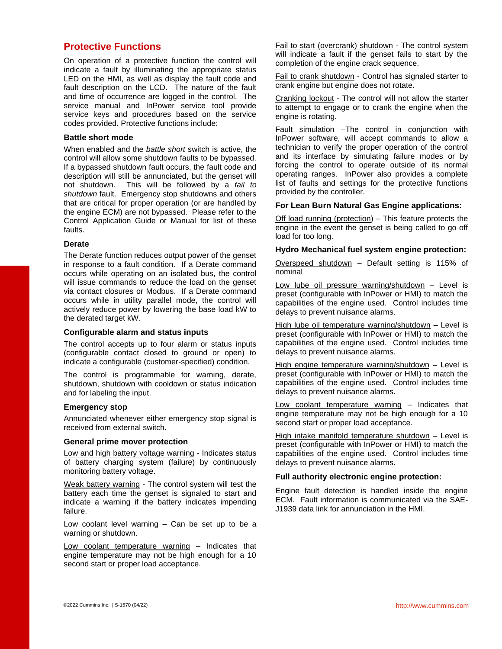## **Protective Functions**

On operation of a protective function the control will indicate a fault by illuminating the appropriate status LED on the HMI, as well as display the fault code and fault description on the LCD. The nature of the fault and time of occurrence are logged in the control. The service manual and InPower service tool provide service keys and procedures based on the service codes provided. Protective functions include:

#### **Battle short mode**

When enabled and the *battle short* switch is active, the control will allow some shutdown faults to be bypassed. If a bypassed shutdown fault occurs, the fault code and description will still be annunciated, but the genset will not shutdown. This will be followed by a *fail to shutdown* fault. Emergency stop shutdowns and others that are critical for proper operation (or are handled by the engine ECM) are not bypassed. Please refer to the Control Application Guide or Manual for list of these faults.

#### **Derate**

The Derate function reduces output power of the genset in response to a fault condition. If a Derate command occurs while operating on an isolated bus, the control will issue commands to reduce the load on the genset via contact closures or Modbus. If a Derate command occurs while in utility parallel mode, the control will actively reduce power by lowering the base load kW to the derated target kW.

#### **Configurable alarm and status inputs**

The control accepts up to four alarm or status inputs (configurable contact closed to ground or open) to indicate a configurable (customer-specified) condition.

The control is programmable for warning, derate, shutdown, shutdown with cooldown or status indication and for labeling the input.

#### **Emergency stop**

Annunciated whenever either emergency stop signal is received from external switch.

#### **General prime mover protection**

Low and high battery voltage warning - Indicates status of battery charging system (failure) by continuously monitoring battery voltage.

Weak battery warning - The control system will test the battery each time the genset is signaled to start and indicate a warning if the battery indicates impending failure.

Low coolant level warning – Can be set up to be a warning or shutdown.

Low coolant temperature warning – Indicates that engine temperature may not be high enough for a 10 second start or proper load acceptance.

Fail to start (overcrank) shutdown - The control system will indicate a fault if the genset fails to start by the completion of the engine crack sequence.

Fail to crank shutdown - Control has signaled starter to crank engine but engine does not rotate.

Cranking lockout - The control will not allow the starter to attempt to engage or to crank the engine when the engine is rotating.

Fault simulation -The control in conjunction with InPower software, will accept commands to allow a technician to verify the proper operation of the control and its interface by simulating failure modes or by forcing the control to operate outside of its normal operating ranges. InPower also provides a complete list of faults and settings for the protective functions provided by the controller.

#### **For Lean Burn Natural Gas Engine applications:**

Off load running (protection) – This feature protects the engine in the event the genset is being called to go off load for too long.

#### **Hydro Mechanical fuel system engine protection:**

Overspeed shutdown – Default setting is 115% of nominal

Low lube oil pressure warning/shutdown – Level is preset (configurable with InPower or HMI) to match the capabilities of the engine used. Control includes time delays to prevent nuisance alarms.

High lube oil temperature warning/shutdown – Level is preset (configurable with InPower or HMI) to match the capabilities of the engine used. Control includes time delays to prevent nuisance alarms.

High engine temperature warning/shutdown - Level is preset (configurable with InPower or HMI) to match the capabilities of the engine used. Control includes time delays to prevent nuisance alarms.

Low coolant temperature warning – Indicates that engine temperature may not be high enough for a 10 second start or proper load acceptance.

High intake manifold temperature shutdown - Level is preset (configurable with InPower or HMI) to match the capabilities of the engine used. Control includes time delays to prevent nuisance alarms.

#### **Full authority electronic engine protection:**

Engine fault detection is handled inside the engine ECM. Fault information is communicated via the SAE-J1939 data link for annunciation in the HMI.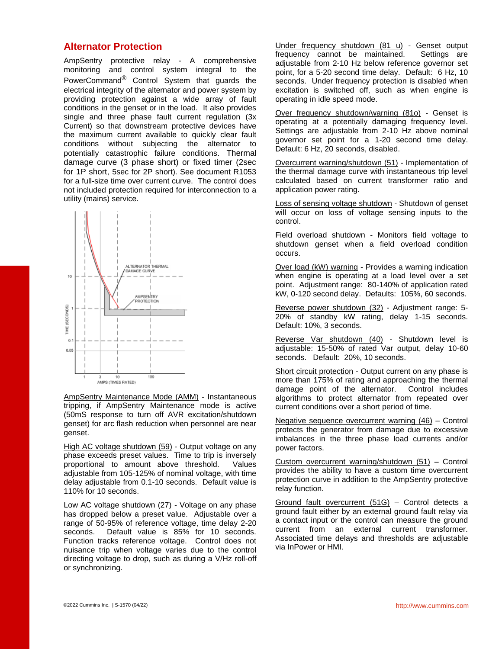## **Alternator Protection**

AmpSentry protective relay - A comprehensive monitoring and control system integral to the PowerCommand® Control System that guards the electrical integrity of the alternator and power system by providing protection against a wide array of fault conditions in the genset or in the load. It also provides single and three phase fault current regulation (3x Current) so that downstream protective devices have the maximum current available to quickly clear fault conditions without subjecting the alternator to potentially catastrophic failure conditions. Thermal damage curve (3 phase short) or fixed timer (2sec for 1P short, 5sec for 2P short). See document R1053 for a full-size time over current curve. The control does not included protection required for interconnection to a utility (mains) service.



AmpSentry Maintenance Mode (AMM) - Instantaneous tripping, if AmpSentry Maintenance mode is active (50mS response to turn off AVR excitation/shutdown genset) for arc flash reduction when personnel are near genset.

High AC voltage shutdown (59) - Output voltage on any phase exceeds preset values. Time to trip is inversely proportional to amount above threshold. Values adjustable from 105-125% of nominal voltage, with time delay adjustable from 0.1-10 seconds. Default value is 110% for 10 seconds.

Low AC voltage shutdown (27) - Voltage on any phase has dropped below a preset value. Adjustable over a range of 50-95% of reference voltage, time delay 2-20 seconds. Default value is 85% for 10 seconds. Function tracks reference voltage. Control does not nuisance trip when voltage varies due to the control directing voltage to drop, such as during a V/Hz roll-off or synchronizing.

Under frequency shutdown (81 u) - Genset output frequency cannot be maintained. Settings are adjustable from 2-10 Hz below reference governor set point, for a 5-20 second time delay. Default: 6 Hz, 10 seconds. Under frequency protection is disabled when excitation is switched off, such as when engine is operating in idle speed mode.

Over frequency shutdown/warning (81o) - Genset is operating at a potentially damaging frequency level. Settings are adjustable from 2-10 Hz above nominal governor set point for a 1-20 second time delay. Default: 6 Hz, 20 seconds, disabled.

Overcurrent warning/shutdown (51) - Implementation of the thermal damage curve with instantaneous trip level calculated based on current transformer ratio and application power rating.

Loss of sensing voltage shutdown - Shutdown of genset will occur on loss of voltage sensing inputs to the control.

Field overload shutdown - Monitors field voltage to shutdown genset when a field overload condition occurs.

Over load (kW) warning - Provides a warning indication when engine is operating at a load level over a set point. Adjustment range: 80-140% of application rated kW, 0-120 second delay. Defaults: 105%, 60 seconds.

Reverse power shutdown (32) - Adjustment range: 5- 20% of standby kW rating, delay 1-15 seconds. Default: 10%, 3 seconds.

Reverse Var shutdown (40) - Shutdown level is adjustable: 15-50% of rated Var output, delay 10-60 seconds. Default: 20%, 10 seconds.

Short circuit protection - Output current on any phase is more than 175% of rating and approaching the thermal damage point of the alternator. Control includes algorithms to protect alternator from repeated over current conditions over a short period of time.

Negative sequence overcurrent warning (46) – Control protects the generator from damage due to excessive imbalances in the three phase load currents and/or power factors.

Custom overcurrent warning/shutdown (51) – Control provides the ability to have a custom time overcurrent protection curve in addition to the AmpSentry protective relay function.

Ground fault overcurrent (51G) - Control detects a ground fault either by an external ground fault relay via a contact input or the control can measure the ground current from an external current transformer. Associated time delays and thresholds are adjustable via InPower or HMI.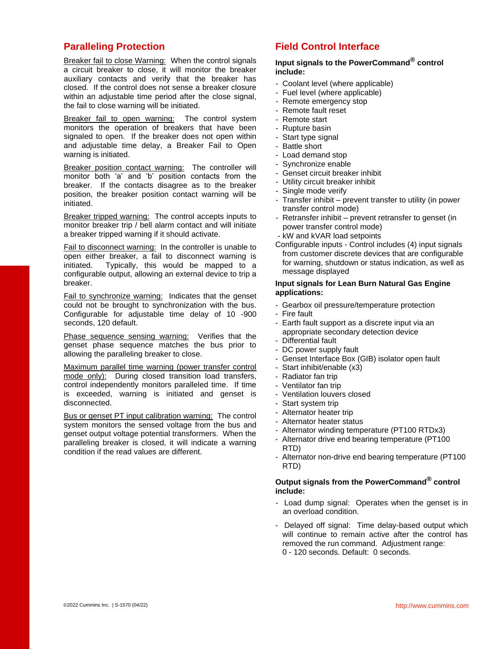## **Paralleling Protection**

**Breaker fail to close Warning: When the control signals** a circuit breaker to close, it will monitor the breaker auxiliary contacts and verify that the breaker has closed. If the control does not sense a breaker closure within an adjustable time period after the close signal, the fail to close warning will be initiated.

Breaker fail to open warning: The control system monitors the operation of breakers that have been signaled to open. If the breaker does not open within and adjustable time delay, a Breaker Fail to Open warning is initiated.

Breaker position contact warning: The controller will monitor both 'a' and 'b' position contacts from the breaker. If the contacts disagree as to the breaker position, the breaker position contact warning will be initiated.

Breaker tripped warning: The control accepts inputs to monitor breaker trip / bell alarm contact and will initiate a breaker tripped warning if it should activate.

Fail to disconnect warning: In the controller is unable to open either breaker, a fail to disconnect warning is initiated. Typically, this would be mapped to a configurable output, allowing an external device to trip a breaker.

Fail to synchronize warning: Indicates that the genset could not be brought to synchronization with the bus. Configurable for adjustable time delay of 10 -900 seconds, 120 default.

Phase sequence sensing warning: Verifies that the genset phase sequence matches the bus prior to allowing the paralleling breaker to close.

Maximum parallel time warning (power transfer control mode only): During closed transition load transfers, control independently monitors paralleled time. If time is exceeded, warning is initiated and genset is disconnected.

Bus or genset PT input calibration warning: The control system monitors the sensed voltage from the bus and genset output voltage potential transformers. When the paralleling breaker is closed, it will indicate a warning condition if the read values are different.

## **Field Control Interface**

## **Input signals to the PowerCommand® control include:**

- Coolant level (where applicable)
- Fuel level (where applicable)
- Remote emergency stop
- Remote fault reset
- Remote start
- Rupture basin
- Start type signal
- Battle short
- Load demand stop
- Synchronize enable
- Genset circuit breaker inhibit
- Utility circuit breaker inhibit
- Single mode verify
- Transfer inhibit prevent transfer to utility (in power transfer control mode)
- Retransfer inhibit prevent retransfer to genset (in power transfer control mode)
- kW and kVAR load setpoints
- Configurable inputs Control includes (4) input signals from customer discrete devices that are configurable for warning, shutdown or status indication, as well as message displayed

#### **Input signals for Lean Burn Natural Gas Engine applications:**

- Gearbox oil pressure/temperature protection
- Fire fault
- Earth fault support as a discrete input via an appropriate secondary detection device
- Differential fault
- DC power supply fault
- Genset Interface Box (GIB) isolator open fault
- Start inhibit/enable (x3)
- Radiator fan trip
- Ventilator fan trip
- Ventilation louvers closed
- Start system trip
- Alternator heater trip
- Alternator heater status
- Alternator winding temperature (PT100 RTDx3)
- Alternator drive end bearing temperature (PT100 RTD)
- Alternator non-drive end bearing temperature (PT100 RTD)

#### **Output signals from the PowerCommand® control include:**

- Load dump signal: Operates when the genset is in an overload condition.
- Delayed off signal: Time delay-based output which will continue to remain active after the control has removed the run command. Adjustment range: 0 - 120 seconds. Default: 0 seconds.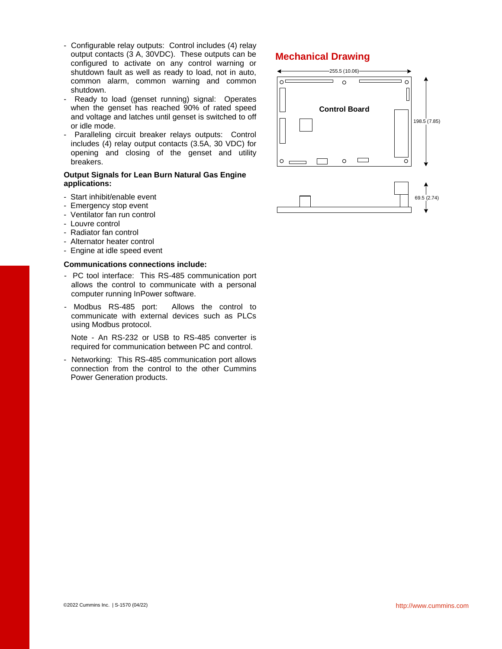- Configurable relay outputs: Control includes (4) relay output contacts (3 A, 30VDC). These outputs can be configured to activate on any control warning or shutdown fault as well as ready to load, not in auto, common alarm, common warning and common shutdown.
- Ready to load (genset running) signal: Operates when the genset has reached 90% of rated speed and voltage and latches until genset is switched to off or idle mode.
- Paralleling circuit breaker relays outputs: Control includes (4) relay output contacts (3.5A, 30 VDC) for opening and closing of the genset and utility breakers.

#### **Output Signals for Lean Burn Natural Gas Engine applications:**

- Start inhibit/enable event
- Emergency stop event
- Ventilator fan run control
- Louvre control
- Radiator fan control
- Alternator heater control
- Engine at idle speed event

#### **Communications connections include:**

- PC tool interface: This RS-485 communication port allows the control to communicate with a personal computer running InPower software.
- Modbus RS-485 port: Allows the control to communicate with external devices such as PLCs using Modbus protocol.

Note - An RS-232 or USB to RS-485 converter is required for communication between PC and control.

- Networking: This RS-485 communication port allows connection from the control to the other Cummins Power Generation products.

## **Mechanical Drawing**

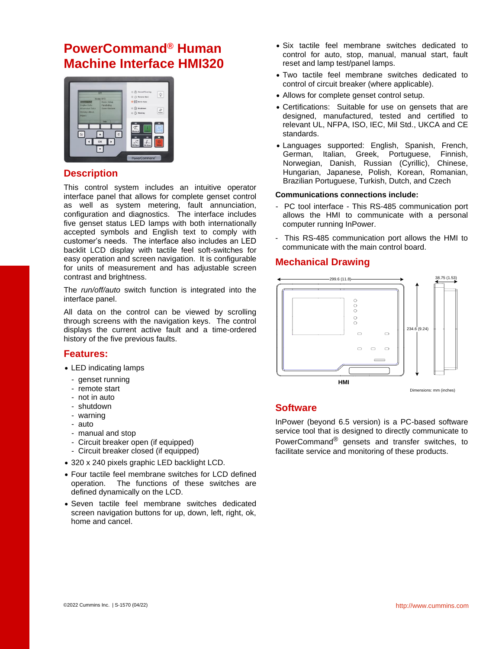## **PowerCommand® Human Machine Interface HMI320**



## **Description**

This control system includes an intuitive operator interface panel that allows for complete genset control as well as system metering, fault annunciation, configuration and diagnostics. The interface includes five genset status LED lamps with both internationally accepted symbols and English text to comply with customer's needs. The interface also includes an LED backlit LCD display with tactile feel soft-switches for easy operation and screen navigation. It is configurable for units of measurement and has adjustable screen contrast and brightness.

The *run/off/auto* switch function is integrated into the interface panel.

All data on the control can be viewed by scrolling through screens with the navigation keys. The control displays the current active fault and a time-ordered history of the five previous faults.

## **Features:**

- LED indicating lamps
	- genset running
	- remote start
	- not in auto
	- shutdown
	- warning
	- auto
	- manual and stop
	- Circuit breaker open (if equipped)
	- Circuit breaker closed (if equipped)
- 320 x 240 pixels graphic LED backlight LCD.
- Four tactile feel membrane switches for LCD defined operation. The functions of these switches are defined dynamically on the LCD.
- Seven tactile feel membrane switches dedicated screen navigation buttons for up, down, left, right, ok, home and cancel.
- Six tactile feel membrane switches dedicated to control for auto, stop, manual, manual start, fault reset and lamp test/panel lamps.
- Two tactile feel membrane switches dedicated to control of circuit breaker (where applicable).
- Allows for complete genset control setup.
- Certifications: Suitable for use on gensets that are designed, manufactured, tested and certified to relevant UL, NFPA, ISO, IEC, Mil Std., UKCA and CE standards.
- Languages supported: English, Spanish, French, German, Italian, Greek, Portuguese, Finnish, Norwegian, Danish, Russian (Cyrillic), Chinese, Hungarian, Japanese, Polish, Korean, Romanian, Brazilian Portuguese, Turkish, Dutch, and Czech

#### **Communications connections include:**

- PC tool interface This RS-485 communication port allows the HMI to communicate with a personal computer running InPower.
- This RS-485 communication port allows the HMI to communicate with the main control board.

## **Mechanical Drawing**



## **Software**

InPower (beyond 6.5 version) is a PC-based software service tool that is designed to directly communicate to PowerCommand® gensets and transfer switches, to facilitate service and monitoring of these products.